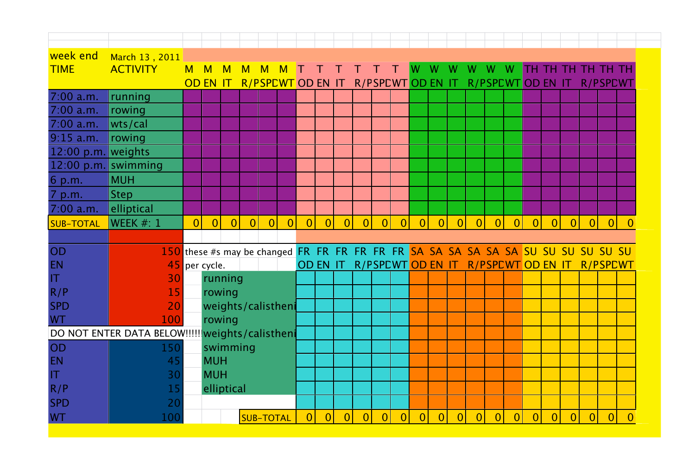| week end                | March 13, 2011                                                                       |                |                 |                |                |                  |                          |                |                |                |                   |                |                |                |                  |                |                          |                |                |                |                   |                |                |                 |          |
|-------------------------|--------------------------------------------------------------------------------------|----------------|-----------------|----------------|----------------|------------------|--------------------------|----------------|----------------|----------------|-------------------|----------------|----------------|----------------|------------------|----------------|--------------------------|----------------|----------------|----------------|-------------------|----------------|----------------|-----------------|----------|
| <b>TIME</b>             | <b>ACTIVITY</b>                                                                      | M              | M               | M              | M              | M                |                          |                |                |                |                   |                |                |                | W                |                |                          | W              | W              |                | тн тн тн тн тн тн |                |                |                 |          |
|                         |                                                                                      |                | <b>OD EN IT</b> |                |                |                  | <b>R/PSPEWT OD EN IT</b> |                |                |                |                   |                |                |                | R/PSPEWTOD EN IT |                | <b>R/PSPEWT OD EN IT</b> |                |                |                |                   |                |                | <b>R/PSPCWT</b> |          |
| 7:00 a.m.               | running                                                                              |                |                 |                |                |                  |                          |                |                |                |                   |                |                |                |                  |                |                          |                |                |                |                   |                |                |                 |          |
| 7:00 a.m.               | rowing                                                                               |                |                 |                |                |                  |                          |                |                |                |                   |                |                |                |                  |                |                          |                |                |                |                   |                |                |                 |          |
| 7:00 a.m.               | wts/cal                                                                              |                |                 |                |                |                  |                          |                |                |                |                   |                |                |                |                  |                |                          |                |                |                |                   |                |                |                 |          |
| $9:15$ a.m.             | rowing                                                                               |                |                 |                |                |                  |                          |                |                |                |                   |                |                |                |                  |                |                          |                |                |                |                   |                |                |                 |          |
| 12:00 p.m. weights      |                                                                                      |                |                 |                |                |                  |                          |                |                |                |                   |                |                |                |                  |                |                          |                |                |                |                   |                |                |                 |          |
| 12:00 p.m. swimming     |                                                                                      |                |                 |                |                |                  |                          |                |                |                |                   |                |                |                |                  |                |                          |                |                |                |                   |                |                |                 |          |
| 6 p.m.                  | <b>MUH</b>                                                                           |                |                 |                |                |                  |                          |                |                |                |                   |                |                |                |                  |                |                          |                |                |                |                   |                |                |                 |          |
| 7 p.m.                  | <b>Step</b>                                                                          |                |                 |                |                |                  |                          |                |                |                |                   |                |                |                |                  |                |                          |                |                |                |                   |                |                |                 |          |
| $7:00$ a.m.             | elliptical                                                                           |                |                 |                |                |                  |                          |                |                |                |                   |                |                |                |                  |                |                          |                |                |                |                   |                |                |                 |          |
| <b>SUB-TOTAL</b>        | WEEK $#: 1$                                                                          | $\overline{0}$ | 0               | $\overline{0}$ | $\overline{0}$ | $\overline{0}$   | $\overline{0}$           | $\overline{0}$ | $\overline{0}$ | $\overline{0}$ | $\overline{0}$    | $\overline{0}$ | $\overline{0}$ | 0              | $\overline{0}$   | $\overline{0}$ | 0                        | $\overline{0}$ | $\overline{0}$ | 0              | $\overline{0}$    | $\overline{0}$ | 0              | $\overline{0}$  | $\Omega$ |
|                         |                                                                                      |                |                 |                |                |                  |                          |                |                |                |                   |                |                |                |                  |                |                          |                |                |                |                   |                |                |                 |          |
| OD                      | 150 these #s may be changed FR FR FR FR FR FR SA SA SA SA SA SA SA SU SU SU SU SU SU |                |                 |                |                |                  |                          |                |                |                |                   |                |                |                |                  |                |                          |                |                |                |                   |                |                |                 |          |
| <b>EN</b>               | 45                                                                                   |                | per cycle.      |                |                |                  |                          |                | OD EN IT       |                | R/PSPEWT OD EN IT |                |                |                |                  |                | <b>R/PSPEWT OD EN IT</b> |                |                |                |                   |                |                | <b>R/PSPCWT</b> |          |
| $\mathsf{I} \mathsf{T}$ | 30                                                                                   |                |                 | running        |                |                  |                          |                |                |                |                   |                |                |                |                  |                |                          |                |                |                |                   |                |                |                 |          |
| R/P                     | 15                                                                                   |                |                 | rowing         |                |                  |                          |                |                |                |                   |                |                |                |                  |                |                          |                |                |                |                   |                |                |                 |          |
| <b>SPD</b>              | 20                                                                                   |                |                 |                |                |                  | weights/calistheni       |                |                |                |                   |                |                |                |                  |                |                          |                |                |                |                   |                |                |                 |          |
| <b>WT</b>               | 100                                                                                  |                |                 | rowing         |                |                  |                          |                |                |                |                   |                |                |                |                  |                |                          |                |                |                |                   |                |                |                 |          |
|                         | DO NOT ENTER DATA BELOW !!!!!! weights/calistheni                                    |                |                 |                |                |                  |                          |                |                |                |                   |                |                |                |                  |                |                          |                |                |                |                   |                |                |                 |          |
| OD                      | 150                                                                                  |                |                 | swimming       |                |                  |                          |                |                |                |                   |                |                |                |                  |                |                          |                |                |                |                   |                |                |                 |          |
| <b>EN</b>               | 45                                                                                   |                | <b>MUH</b>      |                |                |                  |                          |                |                |                |                   |                |                |                |                  |                |                          |                |                |                |                   |                |                |                 |          |
| $\mathsf{I}\mathsf{T}$  | 30                                                                                   |                | <b>MUH</b>      |                |                |                  |                          |                |                |                |                   |                |                |                |                  |                |                          |                |                |                |                   |                |                |                 |          |
| R/P                     | 15                                                                                   |                |                 | elliptical     |                |                  |                          |                |                |                |                   |                |                |                |                  |                |                          |                |                |                |                   |                |                |                 |          |
| <b>SPD</b>              | 20                                                                                   |                |                 |                |                |                  |                          |                |                |                |                   |                |                |                |                  |                |                          |                |                |                |                   |                |                |                 |          |
| <b>WT</b>               | 100                                                                                  |                |                 |                |                | <b>SUB-TOTAL</b> |                          | $\overline{0}$ | $\overline{0}$ | 0              | $\overline{0}$    | $\overline{0}$ | $\overline{0}$ | $\overline{0}$ | $\overline{0}$   | $\overline{0}$ | $\overline{0}$           | $\overline{0}$ | $\Omega$       | $\overline{0}$ | $\overline{0}$    | $\overline{0}$ | $\overline{0}$ | $\overline{0}$  | $\Omega$ |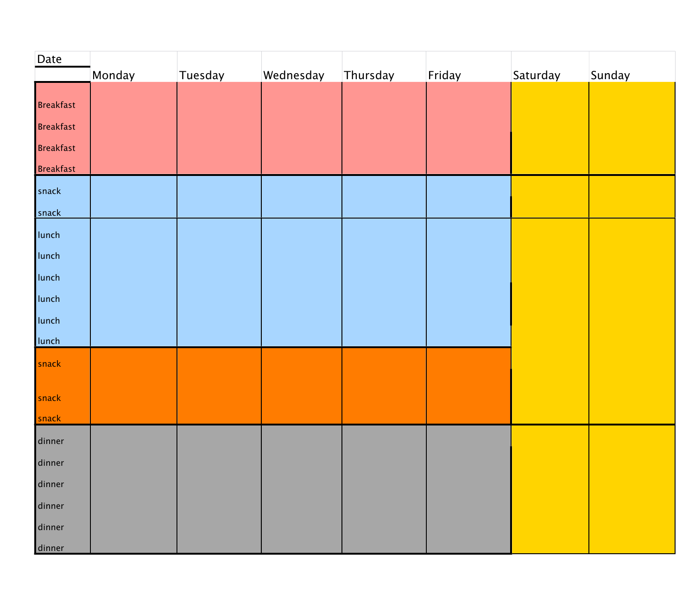| Date             |        |         |           |          |        |          |        |
|------------------|--------|---------|-----------|----------|--------|----------|--------|
|                  | Monday | Tuesday | Wednesday | Thursday | Friday | Saturday | Sunday |
| Breakfast        |        |         |           |          |        |          |        |
| <b>Breakfast</b> |        |         |           |          |        |          |        |
| <b>Breakfast</b> |        |         |           |          |        |          |        |
| <b>Breakfast</b> |        |         |           |          |        |          |        |
| snack            |        |         |           |          |        |          |        |
| snack            |        |         |           |          |        |          |        |
| lunch            |        |         |           |          |        |          |        |
| lunch            |        |         |           |          |        |          |        |
| lunch            |        |         |           |          |        |          |        |
| lunch            |        |         |           |          |        |          |        |
| lunch            |        |         |           |          |        |          |        |
| lunch            |        |         |           |          |        |          |        |
| snack            |        |         |           |          |        |          |        |
| snack            |        |         |           |          |        |          |        |
| snack            |        |         |           |          |        |          |        |
| dinner           |        |         |           |          |        |          |        |
| dinner           |        |         |           |          |        |          |        |
| dinner           |        |         |           |          |        |          |        |
| dinner           |        |         |           |          |        |          |        |
| dinner           |        |         |           |          |        |          |        |
| dinner           |        |         |           |          |        |          |        |